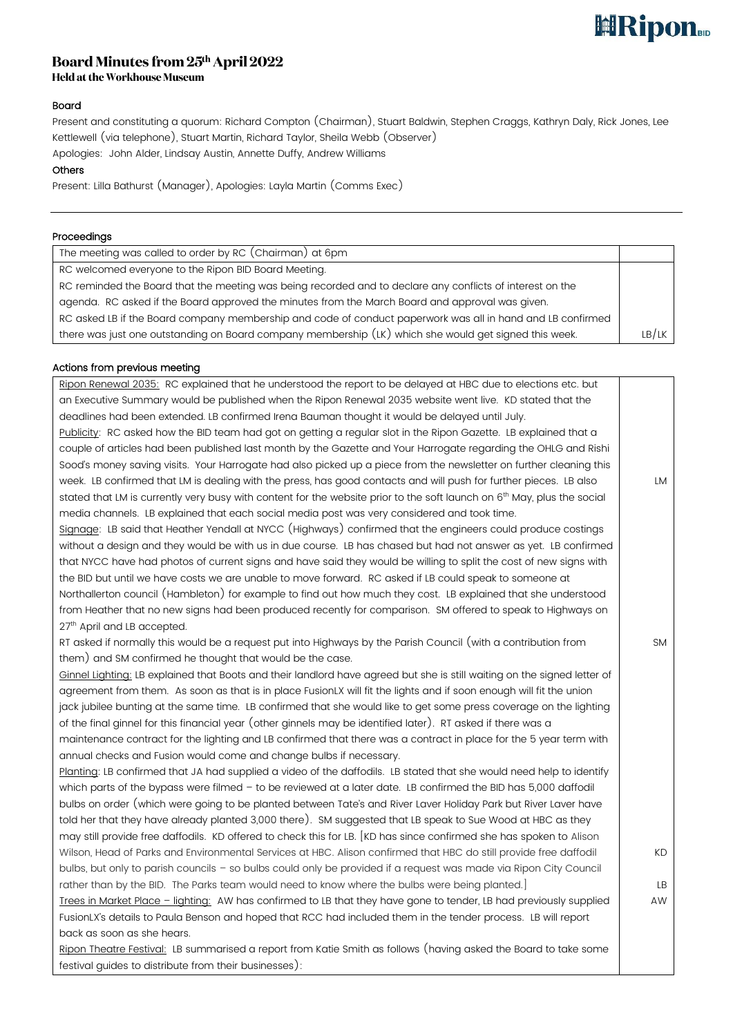# **ERipon**

# Board Minutes from 25th April 2022

**Held at the Workhouse Museum** 

# Board

Present and constituting a quorum: Richard Compton (Chairman), Stuart Baldwin, Stephen Craggs, Kathryn Daly, Rick Jones, Lee Kettlewell (via telephone), Stuart Martin, Richard Taylor, Sheila Webb (Observer)

Apologies: John Alder, Lindsay Austin, Annette Duffy, Andrew Williams

## **Others**

Present: Lilla Bathurst (Manager), Apologies: Layla Martin (Comms Exec)

#### Proceedings

| The meeting was called to order by RC (Chairman) at 6pm                                                    |       |
|------------------------------------------------------------------------------------------------------------|-------|
| RC welcomed everyone to the Ripon BID Board Meeting.                                                       |       |
| RC reminded the Board that the meeting was being recorded and to declare any conflicts of interest on the  |       |
| agenda. RC asked if the Board approved the minutes from the March Board and approval was given.            |       |
| RC asked LB if the Board company membership and code of conduct paperwork was all in hand and LB confirmed |       |
| there was just one outstanding on Board company membership (LK) which she would get signed this week.      | LB/LK |

### Actions from previous meeting

| Ripon Renewal 2035: RC explained that he understood the report to be delayed at HBC due to elections etc. but                       |           |
|-------------------------------------------------------------------------------------------------------------------------------------|-----------|
| an Executive Summary would be published when the Ripon Renewal 2035 website went live. KD stated that the                           |           |
| deadlines had been extended. LB confirmed Irena Bauman thought it would be delayed until July.                                      |           |
| Publicity: RC asked how the BID team had got on getting a regular slot in the Ripon Gazette. LB explained that a                    |           |
| couple of articles had been published last month by the Gazette and Your Harrogate regarding the OHLG and Rishi                     |           |
| Sood's money saving visits. Your Harrogate had also picked up a piece from the newsletter on further cleaning this                  |           |
| week. LB confirmed that LM is dealing with the press, has good contacts and will push for further pieces. LB also                   | LM        |
| stated that LM is currently very busy with content for the website prior to the soft launch on 6 <sup>th</sup> May, plus the social |           |
| media channels. LB explained that each social media post was very considered and took time.                                         |           |
| Signage: LB said that Heather Yendall at NYCC (Highways) confirmed that the engineers could produce costings                        |           |
| without a design and they would be with us in due course. LB has chased but had not answer as yet. LB confirmed                     |           |
| that NYCC have had photos of current signs and have said they would be willing to split the cost of new signs with                  |           |
| the BID but until we have costs we are unable to move forward. RC asked if LB could speak to someone at                             |           |
| Northallerton council (Hambleton) for example to find out how much they cost. LB explained that she understood                      |           |
| from Heather that no new signs had been produced recently for comparison. SM offered to speak to Highways on                        |           |
| 27th April and LB accepted.                                                                                                         |           |
| RT asked if normally this would be a request put into Highways by the Parish Council (with a contribution from                      | <b>SM</b> |
| them) and SM confirmed he thought that would be the case.                                                                           |           |
| Ginnel Lighting: LB explained that Boots and their landlord have agreed but she is still waiting on the signed letter of            |           |
| agreement from them. As soon as that is in place FusionLX will fit the lights and if soon enough will fit the union                 |           |
| jack jubilee bunting at the same time. LB confirmed that she would like to get some press coverage on the lighting                  |           |
| of the final ginnel for this financial year (other ginnels may be identified later). RT asked if there was a                        |           |
| maintenance contract for the lighting and LB confirmed that there was a contract in place for the 5 year term with                  |           |
| annual checks and Fusion would come and change bulbs if necessary.                                                                  |           |
| Planting: LB confirmed that JA had supplied a video of the daffodils. LB stated that she would need help to identify                |           |
| which parts of the bypass were filmed - to be reviewed at a later date. LB confirmed the BID has 5,000 daffodil                     |           |
| bulbs on order (which were going to be planted between Tate's and River Laver Holiday Park but River Laver have                     |           |
| told her that they have already planted 3,000 there). SM suggested that LB speak to Sue Wood at HBC as they                         |           |
| may still provide free daffodils. KD offered to check this for LB. [KD has since confirmed she has spoken to Alison                 |           |
| Wilson, Head of Parks and Environmental Services at HBC. Alison confirmed that HBC do still provide free daffodil                   | KD        |
| bulbs, but only to parish councils - so bulbs could only be provided if a request was made via Ripon City Council                   |           |
| rather than by the BID. The Parks team would need to know where the bulbs were being planted.]                                      | LB        |
| Trees in Market Place - lighting: AW has confirmed to LB that they have gone to tender, LB had previously supplied                  | AW        |
| FusionLX's details to Paula Benson and hoped that RCC had included them in the tender process. LB will report                       |           |
| back as soon as she hears.                                                                                                          |           |
| Ripon Theatre Festival: LB summarised a report from Katie Smith as follows (having asked the Board to take some                     |           |
| festival guides to distribute from their businesses):                                                                               |           |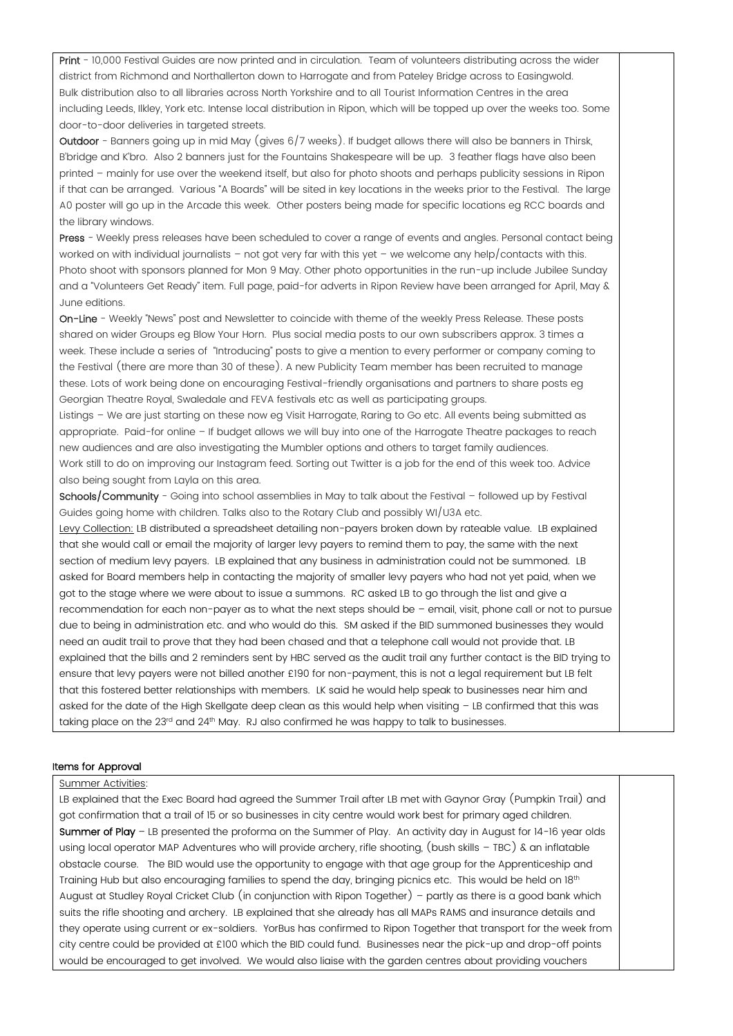Print - 10,000 Festival Guides are now printed and in circulation. Team of volunteers distributing across the wider district from Richmond and Northallerton down to Harrogate and from Pateley Bridge across to Easingwold. Bulk distribution also to all libraries across North Yorkshire and to all Tourist Information Centres in the area including Leeds, Ilkley, York etc. Intense local distribution in Ripon, which will be topped up over the weeks too. Some door-to-door deliveries in targeted streets.

Outdoor - Banners going up in mid May (gives 6/7 weeks). If budget allows there will also be banners in Thirsk, B'bridge and K'bro. Also 2 banners just for the Fountains Shakespeare will be up. 3 feather flags have also been printed – mainly for use over the weekend itself, but also for photo shoots and perhaps publicity sessions in Ripon if that can be arranged. Various "A Boards" will be sited in key locations in the weeks prior to the Festival. The large A0 poster will go up in the Arcade this week. Other posters being made for specific locations eg RCC boards and the library windows.

Press - Weekly press releases have been scheduled to cover a range of events and angles. Personal contact being worked on with individual journalists – not got very far with this yet – we welcome any help/contacts with this. Photo shoot with sponsors planned for Mon 9 May. Other photo opportunities in the run-up include Jubilee Sunday and a "Volunteers Get Ready" item. Full page, paid-for adverts in Ripon Review have been arranged for April, May & June editions.

On-Line - Weekly "News" post and Newsletter to coincide with theme of the weekly Press Release. These posts shared on wider Groups eg Blow Your Horn. Plus social media posts to our own subscribers approx. 3 times a week. These include a series of "Introducing" posts to give a mention to every performer or company coming to the Festival (there are more than 30 of these). A new Publicity Team member has been recruited to manage these. Lots of work being done on encouraging Festival-friendly organisations and partners to share posts eg Georgian Theatre Royal, Swaledale and FEVA festivals etc as well as participating groups.

Listings – We are just starting on these now eg Visit Harrogate, Raring to Go etc. All events being submitted as appropriate. Paid-for online – If budget allows we will buy into one of the Harrogate Theatre packages to reach new audiences and are also investigating the Mumbler options and others to target family audiences. Work still to do on improving our Instagram feed. Sorting out Twitter is a job for the end of this week too. Advice

also being sought from Layla on this area. Schools/Community - Going into school assemblies in May to talk about the Festival - followed up by Festival

Guides going home with children. Talks also to the Rotary Club and possibly WI/U3A etc. Levy Collection: LB distributed a spreadsheet detailing non-payers broken down by rateable value. LB explained

that she would call or email the majority of larger levy payers to remind them to pay, the same with the next section of medium levy payers. LB explained that any business in administration could not be summoned. LB asked for Board members help in contacting the majority of smaller levy payers who had not yet paid, when we got to the stage where we were about to issue a summons. RC asked LB to go through the list and give a recommendation for each non-payer as to what the next steps should be – email, visit, phone call or not to pursue due to being in administration etc. and who would do this. SM asked if the BID summoned businesses they would need an audit trail to prove that they had been chased and that a telephone call would not provide that. LB explained that the bills and 2 reminders sent by HBC served as the audit trail any further contact is the BID trying to ensure that levy payers were not billed another £190 for non-payment, this is not a legal requirement but LB felt that this fostered better relationships with members. LK said he would help speak to businesses near him and asked for the date of the High Skellgate deep clean as this would help when visiting – LB confirmed that this was taking place on the  $23<sup>rd</sup>$  and  $24<sup>th</sup>$  May. RJ also confirmed he was happy to talk to businesses.

#### Items for Approval

#### Summer Activities:

LB explained that the Exec Board had agreed the Summer Trail after LB met with Gaynor Gray (Pumpkin Trail) and got confirmation that a trail of 15 or so businesses in city centre would work best for primary aged children. Summer of Play – LB presented the proforma on the Summer of Play. An activity day in August for 14-16 year olds using local operator MAP Adventures who will provide archery, rifle shooting, (bush skills – TBC) & an inflatable obstacle course. The BID would use the opportunity to engage with that age group for the Apprenticeship and Training Hub but also encouraging families to spend the day, bringing picnics etc. This would be held on 18<sup>th</sup> August at Studley Royal Cricket Club (in conjunction with Ripon Together) – partly as there is a good bank which suits the rifle shooting and archery. LB explained that she already has all MAPs RAMS and insurance details and they operate using current or ex-soldiers. YorBus has confirmed to Ripon Together that transport for the week from city centre could be provided at £100 which the BID could fund. Businesses near the pick-up and drop-off points would be encouraged to get involved. We would also liaise with the garden centres about providing vouchers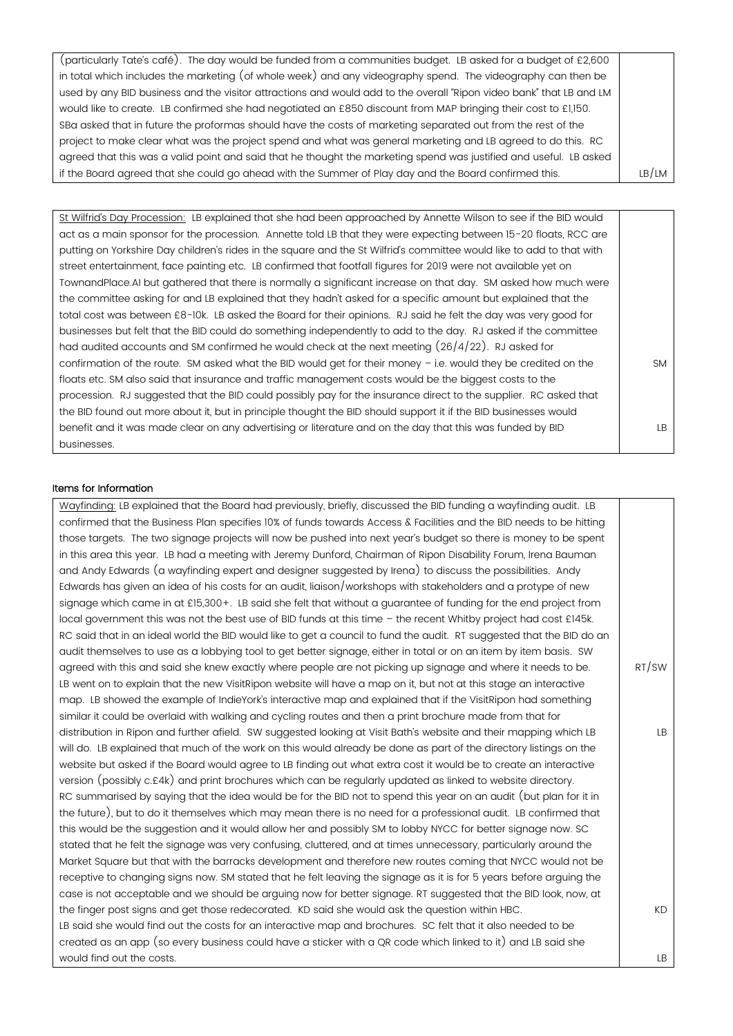| (particularly Tate's café). The day would be funded from a communities budget. LB asked for a budget of £2,600      |       |
|---------------------------------------------------------------------------------------------------------------------|-------|
| in total which includes the marketing (of whole week) and any videography spend. The videography can then be        |       |
| used by any BID business and the visitor attractions and would add to the overall "Ripon video bank" that LB and LM |       |
| would like to create. LB confirmed she had negotiated an £850 discount from MAP bringing their cost to £1,150.      |       |
| SBa asked that in future the proformas should have the costs of marketing separated out from the rest of the        |       |
| project to make clear what was the project spend and what was general marketing and LB agreed to do this. RC        |       |
| agreed that this was a valid point and said that he thought the marketing spend was justified and useful. LB asked  |       |
| if the Board agreed that she could go ahead with the Summer of Play day and the Board confirmed this.               | LB/LM |

St Wilfrid's Day Procession: LB explained that she had been approached by Annette Wilson to see if the BID would act as a main sponsor for the procession. Annette told LB that they were expecting between 15-20 floats, RCC are putting on Yorkshire Day children's rides in the square and the St Wilfrid's committee would like to add to that with street entertainment, face painting etc. LB confirmed that footfall figures for 2019 were not available yet on TownandPlace.AI but gathered that there is normally a significant increase on that day. SM asked how much were the committee asking for and LB explained that they hadn't asked for a specific amount but explained that the total cost was between £8-10k. LB asked the Board for their opinions. RJ said he felt the day was very good for businesses but felt that the BID could do something independently to add to the day. RJ asked if the committee had audited accounts and SM confirmed he would check at the next meeting  $(26/4/22)$ . RJ asked for confirmation of the route. SM asked what the BID would get for their money – i.e. would they be credited on the floats etc. SM also said that insurance and traffic management costs would be the biggest costs to the procession. RJ suggested that the BID could possibly pay for the insurance direct to the supplier. RC asked that the BID found out more about it, but in principle thought the BID should support it if the BID businesses would benefit and it was made clear on any advertising or literature and on the day that this was funded by BID businesses. **SM** LB

#### Items for Information

Wayfinding: LB explained that the Board had previously, briefly, discussed the BID funding a wayfinding audit. LB confirmed that the Business Plan specifies 10% of funds towards Access & Facilities and the BID needs to be hitting those targets. The two signage projects will now be pushed into next year's budget so there is money to be spent in this area this year. LB had a meeting with Jeremy Dunford, Chairman of Ripon Disability Forum, Irena Bauman and Andy Edwards (a wayfinding expert and designer suggested by Irena) to discuss the possibilities. Andy Edwards has given an idea of his costs for an audit, liaison/workshops with stakeholders and a protype of new signage which came in at £15,300+. LB said she felt that without a guarantee of funding for the end project from local government this was not the best use of BID funds at this time – the recent Whitby project had cost £145k. RC said that in an ideal world the BID would like to get a council to fund the audit. RT suggested that the BID do an audit themselves to use as a lobbying tool to get better signage, either in total or on an item by item basis. SW agreed with this and said she knew exactly where people are not picking up signage and where it needs to be. LB went on to explain that the new VisitRipon website will have a map on it, but not at this stage an interactive map. LB showed the example of IndieYork's interactive map and explained that if the VisitRipon had something similar it could be overlaid with walking and cycling routes and then a print brochure made from that for distribution in Ripon and further afield. SW suggested looking at Visit Bath's website and their mapping which LB will do. LB explained that much of the work on this would already be done as part of the directory listings on the website but asked if the Board would agree to LB finding out what extra cost it would be to create an interactive version (possibly c.£4k) and print brochures which can be regularly updated as linked to website directory. RC summarised by saying that the idea would be for the BID not to spend this year on an audit (but plan for it in the future), but to do it themselves which may mean there is no need for a professional audit. LB confirmed that this would be the suggestion and it would allow her and possibly SM to lobby NYCC for better signage now. SC stated that he felt the signage was very confusing, cluttered, and at times unnecessary, particularly around the Market Square but that with the barracks development and therefore new routes coming that NYCC would not be receptive to changing signs now. SM stated that he felt leaving the signage as it is for 5 years before arguing the case is not acceptable and we should be arguing now for better signage. RT suggested that the BID look, now, at the finger post signs and get those redecorated. KD said she would ask the question within HBC. LB said she would find out the costs for an interactive map and brochures. SC felt that it also needed to be created as an app (so every business could have a sticker with a QR code which linked to it) and LB said she would find out the costs. RT/SW LB KD LB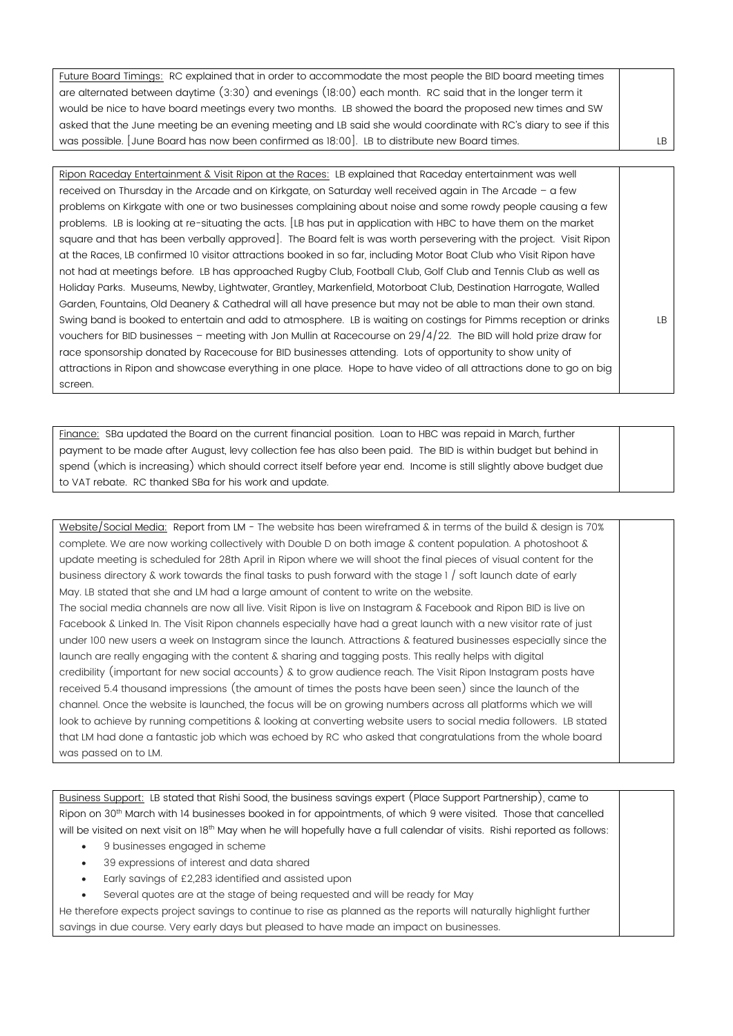| Future Board Timings: RC explained that in order to accommodate the most people the BID board meeting times       |     |
|-------------------------------------------------------------------------------------------------------------------|-----|
| are alternated between daytime (3:30) and evenings (18:00) each month. RC said that in the longer term it         |     |
| would be nice to have board meetings every two months. LB showed the board the proposed new times and SW          |     |
| asked that the June meeting be an evening meeting and LB said she would coordinate with RC's diary to see if this |     |
| was possible. June Board has now been confirmed as 18:00]. LB to distribute new Board times.                      | LB. |

Ripon Raceday Entertainment & Visit Ripon at the Races: LB explained that Raceday entertainment was well received on Thursday in the Arcade and on Kirkgate, on Saturday well received again in The Arcade – a few problems on Kirkgate with one or two businesses complaining about noise and some rowdy people causing a few problems. LB is looking at re-situating the acts. [LB has put in application with HBC to have them on the market square and that has been verbally approved]. The Board felt is was worth persevering with the project. Visit Ripon at the Races, LB confirmed 10 visitor attractions booked in so far, including Motor Boat Club who Visit Ripon have not had at meetings before. LB has approached Rugby Club, Football Club, Golf Club and Tennis Club as well as Holiday Parks. Museums, Newby, Lightwater, Grantley, Markenfield, Motorboat Club, Destination Harrogate, Walled Garden, Fountains, Old Deanery & Cathedral will all have presence but may not be able to man their own stand. Swing band is booked to entertain and add to atmosphere. LB is waiting on costings for Pimms reception or drinks vouchers for BID businesses – meeting with Jon Mullin at Racecourse on 29/4/22. The BID will hold prize draw for race sponsorship donated by Racecouse for BID businesses attending. Lots of opportunity to show unity of attractions in Ripon and showcase everything in one place. Hope to have video of all attractions done to go on big screen. LB

Finance: SBa updated the Board on the current financial position. Loan to HBC was repaid in March, further payment to be made after August, levy collection fee has also been paid. The BID is within budget but behind in spend (which is increasing) which should correct itself before year end. Income is still slightly above budget due to VAT rebate. RC thanked SBa for his work and update.

Website/Social Media: Report from LM - The website has been wireframed & in terms of the build & design is 70% complete. We are now working collectively with Double D on both image & content population. A photoshoot & update meeting is scheduled for 28th April in Ripon where we will shoot the final pieces of visual content for the business directory & work towards the final tasks to push forward with the stage 1 / soft launch date of early May. LB stated that she and LM had a large amount of content to write on the website. The social media channels are now all live. Visit Ripon is live on Instagram & Facebook and Ripon BID is live on Facebook & Linked In. The Visit Ripon channels especially have had a great launch with a new visitor rate of just under 100 new users a week on Instagram since the launch. Attractions & featured businesses especially since the launch are really engaging with the content & sharing and tagging posts. This really helps with digital credibility (important for new social accounts) & to grow audience reach. The Visit Ripon Instagram posts have received 5.4 thousand impressions (the amount of times the posts have been seen) since the launch of the channel. Once the website is launched, the focus will be on growing numbers across all platforms which we will look to achieve by running competitions & looking at converting website users to social media followers. LB stated that LM had done a fantastic job which was echoed by RC who asked that congratulations from the whole board was passed on to LM.

Business Support: LB stated that Rishi Sood, the business savings expert (Place Support Partnership), came to Ripon on 30<sup>th</sup> March with 14 businesses booked in for appointments, of which 9 were visited. Those that cancelled will be visited on next visit on 18<sup>th</sup> May when he will hopefully have a full calendar of visits. Rishi reported as follows:

- 9 businesses engaged in scheme
- 39 expressions of interest and data shared
- Early savings of £2,283 identified and assisted upon
- Several quotes are at the stage of being requested and will be ready for May

He therefore expects project savings to continue to rise as planned as the reports will naturally highlight further savings in due course. Very early days but pleased to have made an impact on businesses.